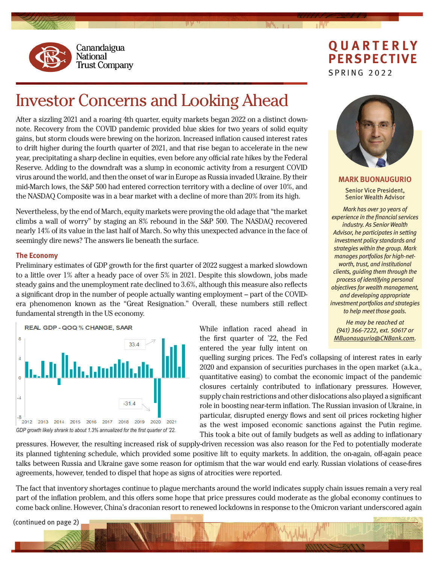

Canandaigua **National Trust Company** 

# **QUARTERLY PERSPECTIVE** SPRING 2022

# Investor Concerns and Looking Ahead

After a sizzling 2021 and a roaring 4th quarter, equity markets began 2022 on a distinct downnote. Recovery from the COVID pandemic provided blue skies for two years of solid equity gains, but storm clouds were brewing on the horizon. Increased inflation caused interest rates to drift higher during the fourth quarter of 2021, and that rise began to accelerate in the new year, precipitating a sharp decline in equities, even before any official rate hikes by the Federal Reserve. Adding to the downdraft was a slump in economic activity from a resurgent COVID virus around the world, and then the onset of war in Europe as Russia invaded Ukraine. By their mid-March lows, the S&P 500 had entered correction territory with a decline of over 10%, and the NASDAQ Composite was in a bear market with a decline of more than 20% from its high.

Nevertheless, by the end of March, equity markets were proving the old adage that "the market climbs a wall of worry" by staging an 8% rebound in the S&P 500. The NASDAQ recovered nearly 14% of its value in the last half of March. So why this unexpected advance in the face of seemingly dire news? The answers lie beneath the surface.

## **The Economy**

Preliminary estimates of GDP growth for the first quarter of 2022 suggest a marked slowdown to a little over 1% after a heady pace of over 5% in 2021. Despite this slowdown, jobs made steady gains and the unemployment rate declined to 3.6%, although this measure also reflects a significant drop in the number of people actually wanting employment – part of the COVIDera phenomenon known as the "Great Resignation." Overall, these numbers still reflect fundamental strength in the US economy.



While inflation raced ahead in the first quarter of '22, the Fed entered the year fully intent on



**MARK BUONAUGURIO**

Senior Vice President, Senior Wealth Advisor

*Mark has over 30 years of experience in the financial services industry. As Senior Wealth Advisor, he participates in setting investment policy standards and strategies within the group. Mark manages portfolios for high-networth, trust, and institutional clients, guiding them through the process of identifying personal objectives for wealth management, and developing appropriate investment portfolios and strategies to help meet those goals.*

*He may be reached at (941) 366-7222, ext. 50617 or MBuonaugurio@CNBank.com.*

quelling surging prices. The Fed's collapsing of interest rates in early 2020 and expansion of securities purchases in the open market (a.k.a., quantitative easing) to combat the economic impact of the pandemic closures certainly contributed to inflationary pressures. However, supply chain restrictions and other dislocations also played a significant role in boosting near-term inflation. The Russian invasion of Ukraine, in particular, disrupted energy flows and sent oil prices rocketing higher as the west imposed economic sanctions against the Putin regime. This took a bite out of family budgets as well as adding to inflationary

pressures. However, the resulting increased risk of supply-driven recession was also reason for the Fed to potentially moderate its planned tightening schedule, which provided some positive lift to equity markets. In addition, the on-again, off-again peace talks between Russia and Ukraine gave some reason for optimism that the war would end early. Russian violations of cease-fires agreements, however, tended to dispel that hope as signs of atrocities were reported.

The fact that inventory shortages continue to plague merchants around the world indicates supply chain issues remain a very real part of the inflation problem, and this offers some hope that price pressures could moderate as the global economy continues to come back online. However, China's draconian resort to renewed lockdowns in response to the Omicron variant underscored again